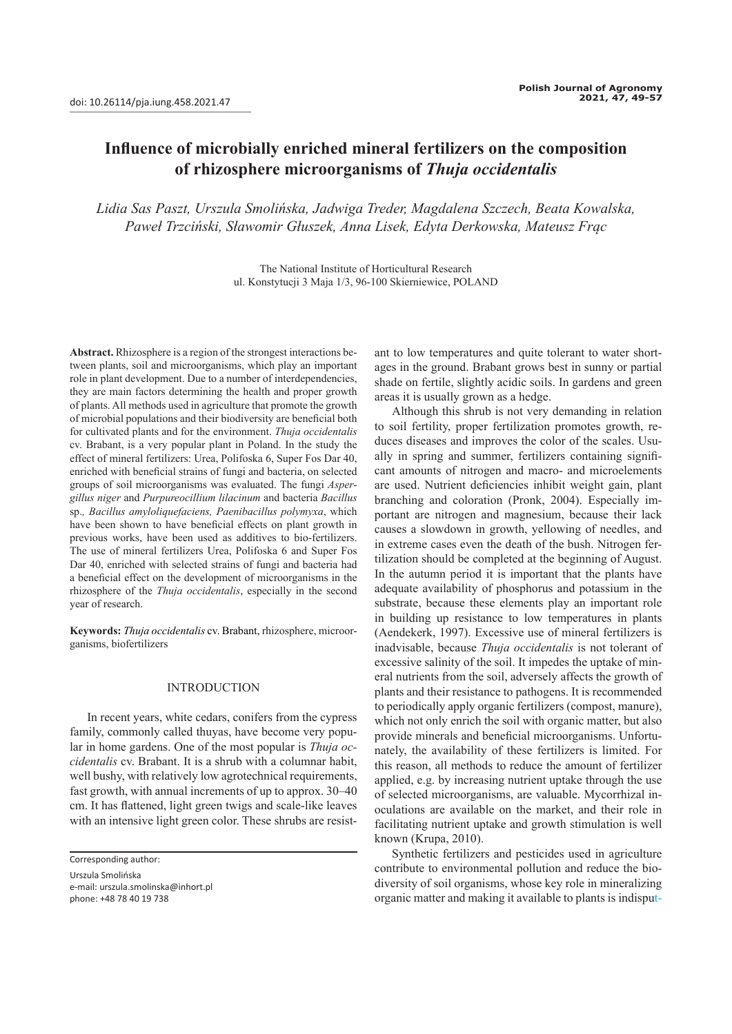# **Influence of microbially enriched mineral fertilizers on the composition of rhizosphere microorganisms of** *Thuja occidentalis*

*Lidia Sas Paszt, Urszula Smolińska, Jadwiga Treder, Magdalena Szczech, Beata Kowalska, Paweł Trzciński, Sławomir Głuszek, Anna Lisek, Edyta Derkowska, Mateusz Frąc*

> The National Institute of Horticultural Research ul. Konstytucji 3 Maja 1/3, 96-100 Skierniewice, POLAND

**Abstract.** Rhizosphere is a region of the strongest interactions between plants, soil and microorganisms, which play an important role in plant development. Due to a number of interdependencies, they are main factors determining the health and proper growth of plants. All methods used in agriculture that promote the growth of microbial populations and their biodiversity are beneficial both for cultivated plants and for the environment. *Thuja occidentalis*  cv. Brabant, is a very popular plant in Poland. In the study the effect of mineral fertilizers: Urea, Polifoska 6, Super Fos Dar 40, enriched with beneficial strains of fungi and bacteria, on selected groups of soil microorganisms was evaluated. The fungi *Aspergillus niger* and *Purpureocillium lilacinum* and bacteria *Bacillus*  sp.*, Bacillus amyloliquefaciens, Paenibacillus polymyxa*, which have been shown to have beneficial effects on plant growth in previous works, have been used as additives to bio-fertilizers. The use of mineral fertilizers Urea, Polifoska 6 and Super Fos Dar 40, enriched with selected strains of fungi and bacteria had a beneficial effect on the development of microorganisms in the rhizosphere of the *Thuja occidentalis*, especially in the second year of research.

**Keywords:** *Thuja occidentalis* cv. Brabant, rhizosphere, microorganisms, biofertilizers

### INTRODUCTION

In recent years, white cedars, conifers from the cypress family, commonly called thuyas, have become very popular in home gardens. One of the most popular is *Thuja occidentalis* cv. Brabant. It is a shrub with a columnar habit, well bushy, with relatively low agrotechnical requirements, fast growth, with annual increments of up to approx. 30–40 cm. It has flattened, light green twigs and scale-like leaves with an intensive light green color. These shrubs are resist-

Corresponding author:

Urszula Smolińska e-mail: urszula.smolinska@inhort.pl phone: +48 78 40 19 738

ant to low temperatures and quite tolerant to water shortages in the ground. Brabant grows best in sunny or partial shade on fertile, slightly acidic soils. In gardens and green areas it is usually grown as a hedge.

Although this shrub is not very demanding in relation to soil fertility, proper fertilization promotes growth, reduces diseases and improves the color of the scales. Usually in spring and summer, fertilizers containing significant amounts of nitrogen and macro- and microelements are used. Nutrient deficiencies inhibit weight gain, plant branching and coloration (Pronk, 2004). Especially important are nitrogen and magnesium, because their lack causes a slowdown in growth, yellowing of needles, and in extreme cases even the death of the bush. Nitrogen fertilization should be completed at the beginning of August. In the autumn period it is important that the plants have adequate availability of phosphorus and potassium in the substrate, because these elements play an important role in building up resistance to low temperatures in plants (Aendekerk, 1997). Excessive use of mineral fertilizers is inadvisable, because *Thuja occidentalis* is not tolerant of excessive salinity of the soil. It impedes the uptake of mineral nutrients from the soil, adversely affects the growth of plants and their resistance to pathogens. It is recommended to periodically apply organic fertilizers (compost, manure), which not only enrich the soil with organic matter, but also provide minerals and beneficial microorganisms. Unfortunately, the availability of these fertilizers is limited. For this reason, all methods to reduce the amount of fertilizer applied, e.g. by increasing nutrient uptake through the use of selected microorganisms, are valuable. Mycorrhizal inoculations are available on the market, and their role in facilitating nutrient uptake and growth stimulation is well known (Krupa, 2010).

Synthetic fertilizers and pesticides used in agriculture contribute to environmental pollution and reduce the biodiversity of soil organisms, whose key role in mineralizing organic matter and making it available to plants is indisput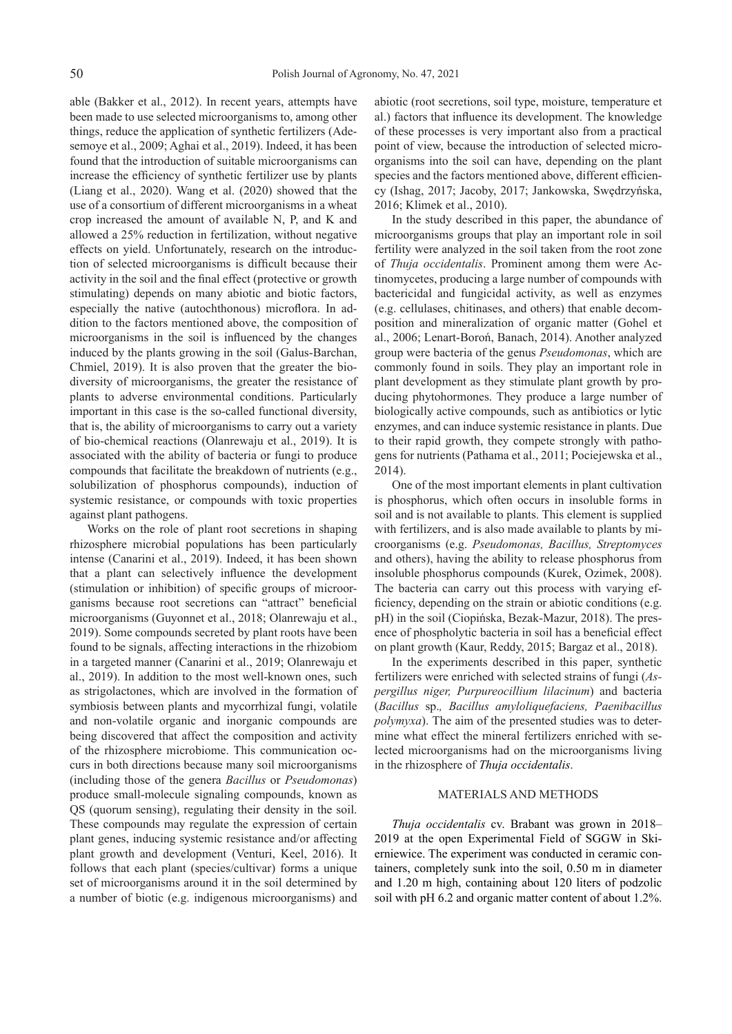able (Bakker et al., 2012). In recent years, attempts have been made to use selected microorganisms to, among other things, reduce the application of synthetic fertilizers (Adesemoye et al., 2009; Aghai et al., 2019). Indeed, it has been found that the introduction of suitable microorganisms can increase the efficiency of synthetic fertilizer use by plants (Liang et al., 2020). Wang et al. (2020) showed that the use of a consortium of different microorganisms in a wheat crop increased the amount of available N, P, and K and allowed a 25% reduction in fertilization, without negative effects on yield. Unfortunately, research on the introduction of selected microorganisms is difficult because their activity in the soil and the final effect (protective or growth stimulating) depends on many abiotic and biotic factors, especially the native (autochthonous) microflora. In addition to the factors mentioned above, the composition of microorganisms in the soil is influenced by the changes induced by the plants growing in the soil (Galus-Barchan, Chmiel, 2019). It is also proven that the greater the biodiversity of microorganisms, the greater the resistance of plants to adverse environmental conditions. Particularly important in this case is the so-called functional diversity, that is, the ability of microorganisms to carry out a variety of bio-chemical reactions (Olanrewaju et al., 2019). It is associated with the ability of bacteria or fungi to produce compounds that facilitate the breakdown of nutrients (e.g., solubilization of phosphorus compounds), induction of systemic resistance, or compounds with toxic properties against plant pathogens.

Works on the role of plant root secretions in shaping rhizosphere microbial populations has been particularly intense (Canarini et al., 2019). Indeed, it has been shown that a plant can selectively influence the development (stimulation or inhibition) of specific groups of microorganisms because root secretions can "attract" beneficial microorganisms (Guyonnet et al., 2018; Olanrewaju et al., 2019). Some compounds secreted by plant roots have been found to be signals, affecting interactions in the rhizobiom in a targeted manner (Canarini et al., 2019; Olanrewaju et al., 2019). In addition to the most well-known ones, such as strigolactones, which are involved in the formation of symbiosis between plants and mycorrhizal fungi, volatile and non-volatile organic and inorganic compounds are being discovered that affect the composition and activity of the rhizosphere microbiome. This communication occurs in both directions because many soil microorganisms (including those of the genera *Bacillus* or *Pseudomonas*) produce small-molecule signaling compounds, known as QS (quorum sensing), regulating their density in the soil. These compounds may regulate the expression of certain plant genes, inducing systemic resistance and/or affecting plant growth and development (Venturi, Keel, 2016). It follows that each plant (species/cultivar) forms a unique set of microorganisms around it in the soil determined by a number of biotic (e.g. indigenous microorganisms) and abiotic (root secretions, soil type, moisture, temperature et al.) factors that influence its development. The knowledge of these processes is very important also from a practical point of view, because the introduction of selected microorganisms into the soil can have, depending on the plant species and the factors mentioned above, different efficiency (Ishag, 2017; Jacoby, 2017; Jankowska, Swędrzyńska, 2016; Klimek et al., 2010).

In the study described in this paper, the abundance of microorganisms groups that play an important role in soil fertility were analyzed in the soil taken from the root zone of *Thuja occidentalis*. Prominent among them were Actinomycetes, producing a large number of compounds with bactericidal and fungicidal activity, as well as enzymes (e.g. cellulases, chitinases, and others) that enable decomposition and mineralization of organic matter (Gohel et al., 2006; Lenart-Boroń, Banach, 2014). Another analyzed group were bacteria of the genus *Pseudomonas*, which are commonly found in soils. They play an important role in plant development as they stimulate plant growth by producing phytohormones. They produce a large number of biologically active compounds, such as antibiotics or lytic enzymes, and can induce systemic resistance in plants. Due to their rapid growth, they compete strongly with pathogens for nutrients (Pathama et al., 2011; Pociejewska et al., 2014).

One of the most important elements in plant cultivation is phosphorus, which often occurs in insoluble forms in soil and is not available to plants. This element is supplied with fertilizers, and is also made available to plants by microorganisms (e.g. *Pseudomonas, Bacillus, Streptomyces* and others), having the ability to release phosphorus from insoluble phosphorus compounds (Kurek, Ozimek, 2008). The bacteria can carry out this process with varying efficiency, depending on the strain or abiotic conditions (e.g. pH) in the soil (Ciopińska, Bezak-Mazur, 2018). The presence of phospholytic bacteria in soil has a beneficial effect on plant growth (Kaur, Reddy, 2015; Bargaz et al., 2018).

In the experiments described in this paper, synthetic fertilizers were enriched with selected strains of fungi (*Aspergillus niger, Purpureocillium lilacinum*) and bacteria (*Bacillus* sp.*, Bacillus amyloliquefaciens, Paenibacillus polymyxa*). The aim of the presented studies was to determine what effect the mineral fertilizers enriched with selected microorganisms had on the microorganisms living in the rhizosphere of *Thuja occidentalis*.

## MATERIALS AND METHODS

*Thuja occidentalis* cv. Brabant was grown in 2018– 2019 at the open Experimental Field of SGGW in Skierniewice. The experiment was conducted in ceramic containers, completely sunk into the soil, 0.50 m in diameter and 1.20 m high, containing about 120 liters of podzolic soil with pH 6.2 and organic matter content of about 1.2%.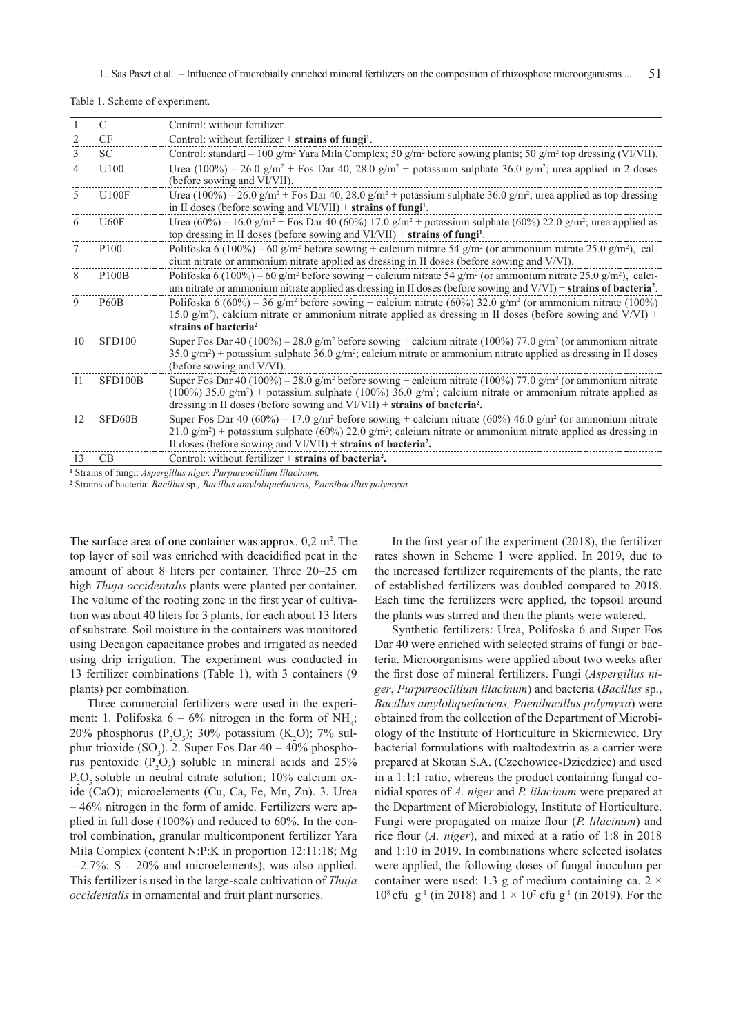51 L. Sas Paszt et al. – Influence of microbially enriched mineral fertilizers on the composition of rhizosphere microorganisms ...

|    | $\mathcal{C}$    | Control: without fertilizer.                                                                                                                                                                                                                                                                                                                                      |
|----|------------------|-------------------------------------------------------------------------------------------------------------------------------------------------------------------------------------------------------------------------------------------------------------------------------------------------------------------------------------------------------------------|
|    | <b>CF</b>        | Control: without fertilizer $+$ strains of fungi <sup>1</sup> .                                                                                                                                                                                                                                                                                                   |
| 3  | <b>SC</b>        | Control: standard – 100 g/m <sup>2</sup> Yara Mila Complex; 50 g/m <sup>2</sup> before sowing plants; 50 g/m <sup>2</sup> top dressing (VI/VII).                                                                                                                                                                                                                  |
| 4  | U100             | Urea (100%) – 26.0 g/m <sup>2</sup> + Fos Dar 40, 28.0 g/m <sup>2</sup> + potassium sulphate 36.0 g/m <sup>2</sup> ; urea applied in 2 doses<br>(before sowing and VI/VII).                                                                                                                                                                                       |
| 5. | <b>U100F</b>     | Urea (100%) – 26.0 g/m <sup>2</sup> + Fos Dar 40, 28.0 g/m <sup>2</sup> + potassium sulphate 36.0 g/m <sup>2</sup> ; urea applied as top dressing<br>in II doses (before sowing and $VI/VII$ ) + strains of fungi <sup>1</sup> .                                                                                                                                  |
| 6  | U60F             | Urea (60%) – 16.0 g/m <sup>2</sup> + Fos Dar 40 (60%) 17.0 g/m <sup>2</sup> + potassium sulphate (60%) 22.0 g/m <sup>2</sup> ; urea applied as<br>top dressing in II doses (before sowing and $VI/VII$ ) + strains of fungi <sup>1</sup> .                                                                                                                        |
|    | P <sub>100</sub> | Polifoska 6 (100%) – 60 g/m <sup>2</sup> before sowing + calcium nitrate 54 g/m <sup>2</sup> (or ammonium nitrate 25.0 g/m <sup>2</sup> ), cal-<br>cium nitrate or ammonium nitrate applied as dressing in II doses (before sowing and V/VI).                                                                                                                     |
| 8  | <b>P100B</b>     | Polifoska 6 (100%) – 60 g/m <sup>2</sup> before sowing + calcium nitrate 54 g/m <sup>2</sup> (or ammonium nitrate 25.0 g/m <sup>2</sup> ), calci-<br>um nitrate or ammonium nitrate applied as dressing in II doses (before sowing and V/VI) + strains of bacteria <sup>2</sup> .                                                                                 |
| 9  | <b>P60B</b>      | Polifoska 6 (60%) – 36 g/m <sup>2</sup> before sowing + calcium nitrate (60%) 32.0 g/m <sup>2</sup> (or ammonium nitrate (100%)<br>15.0 g/m <sup>2</sup> ), calcium nitrate or ammonium nitrate applied as dressing in II doses (before sowing and V/VI) +<br>strains of bacteria <sup>2</sup> .                                                                  |
| 10 | <b>SFD100</b>    | Super Fos Dar 40 (100%) – 28.0 g/m <sup>2</sup> before sowing + calcium nitrate (100%) 77.0 g/m <sup>2</sup> (or ammonium nitrate<br>$35.0 \text{ g/m}^2$ + potassium sulphate $36.0 \text{ g/m}^2$ ; calcium nitrate or ammonium nitrate applied as dressing in II doses<br>(before sowing and V/VI).                                                            |
| 11 | SFD100B          | Super Fos Dar 40 (100%) – 28.0 g/m <sup>2</sup> before sowing + calcium nitrate (100%) 77.0 g/m <sup>2</sup> (or ammonium nitrate<br>(100%) 35.0 g/m <sup>2</sup> ) + potassium sulphate (100%) 36.0 g/m <sup>2</sup> ; calcium nitrate or ammonium nitrate applied as<br>dressing in II doses (before sowing and $VI/VII$ ) + strains of bacteria <sup>2</sup> . |
| 12 | SFD60B           | Super Fos Dar 40 (60%) – 17.0 g/m <sup>2</sup> before sowing + calcium nitrate (60%) 46.0 g/m <sup>2</sup> (or ammonium nitrate<br>$21.0 \text{ g/m}^2$ + potassium sulphate (60%) 22.0 g/m <sup>2</sup> ; calcium nitrate or ammonium nitrate applied as dressing in<br>II doses (before sowing and $VI/VII$ ) + strains of bacteria <sup>2</sup> .              |
| 13 | CB               | Control: without fertilizer $+$ strains of bacteria <sup>2</sup> .                                                                                                                                                                                                                                                                                                |
|    |                  |                                                                                                                                                                                                                                                                                                                                                                   |

Table 1. Scheme of experiment.

**1** Strains of fungi: *Aspergillus niger, Purpureocillium lilacinum.*

**2** Strains of bacteria: *Bacillus* sp.*, Bacillus amyloliquefaciens, Paenibacillus polymyxa* 

The surface area of one container was approx.  $0,2 \text{ m}^2$ . The top layer of soil was enriched with deacidified peat in the amount of about 8 liters per container. Three 20–25 cm high *Thuja occidentalis* plants were planted per container. The volume of the rooting zone in the first year of cultivation was about 40 liters for 3 plants, for each about 13 liters of substrate. Soil moisture in the containers was monitored using Decagon capacitance probes and irrigated as needed using drip irrigation. The experiment was conducted in 13 fertilizer combinations (Table 1), with 3 containers (9 plants) per combination.

Three commercial fertilizers were used in the experiment: 1. Polifoska  $6 - 6\%$  nitrogen in the form of NH<sub>4</sub>; 20% phosphorus (P<sub>2</sub>O<sub>5</sub>); 30% potassium (K<sub>2</sub>O); 7% sulphur trioxide  $(SO_3)$ . 2. Super Fos Dar 40 – 40% phosphorus pentoxide  $(P_2O_5)$  soluble in mineral acids and 25%  $P_2O_5$  soluble in neutral citrate solution; 10% calcium oxide (CaO); microelements (Cu, Ca, Fe, Mn, Zn). 3. Urea – 46% nitrogen in the form of amide. Fertilizers were applied in full dose (100%) and reduced to 60%. In the control combination, granular multicomponent fertilizer Yara Mila Complex (content N:P:K in proportion 12:11:18; Mg  $-2.7\%$ ; S  $-20\%$  and microelements), was also applied. This fertilizer is used in the large-scale cultivation of *Thuja occidentalis* in ornamental and fruit plant nurseries.

In the first year of the experiment (2018), the fertilizer rates shown in Scheme 1 were applied. In 2019, due to the increased fertilizer requirements of the plants, the rate of established fertilizers was doubled compared to 2018. Each time the fertilizers were applied, the topsoil around the plants was stirred and then the plants were watered.

Synthetic fertilizers: Urea, Polifoska 6 and Super Fos Dar 40 were enriched with selected strains of fungi or bacteria. Microorganisms were applied about two weeks after the first dose of mineral fertilizers. Fungi (*Aspergillus niger*, *Purpureocillium lilacinum*) and bacteria (*Bacillus* sp., *Bacillus amyloliquefaciens, Paenibacillus polymyxa*) were obtained from the collection of the Department of Microbiology of the Institute of Horticulture in Skierniewice. Dry bacterial formulations with maltodextrin as a carrier were prepared at Skotan S.A. (Czechowice-Dziedzice) and used in a 1:1:1 ratio, whereas the product containing fungal conidial spores of *A. niger* and *P. lilacinum* were prepared at the Department of Microbiology, Institute of Horticulture. Fungi were propagated on maize flour (*P. lilacinum*) and rice flour (*A. niger*), and mixed at a ratio of 1:8 in 2018 and 1:10 in 2019. In combinations where selected isolates were applied, the following doses of fungal inoculum per container were used: 1.3 g of medium containing ca.  $2 \times$ 10<sup>8</sup> cfu g<sup>-1</sup> (in 2018) and  $1 \times 10^7$  cfu g<sup>-1</sup> (in 2019). For the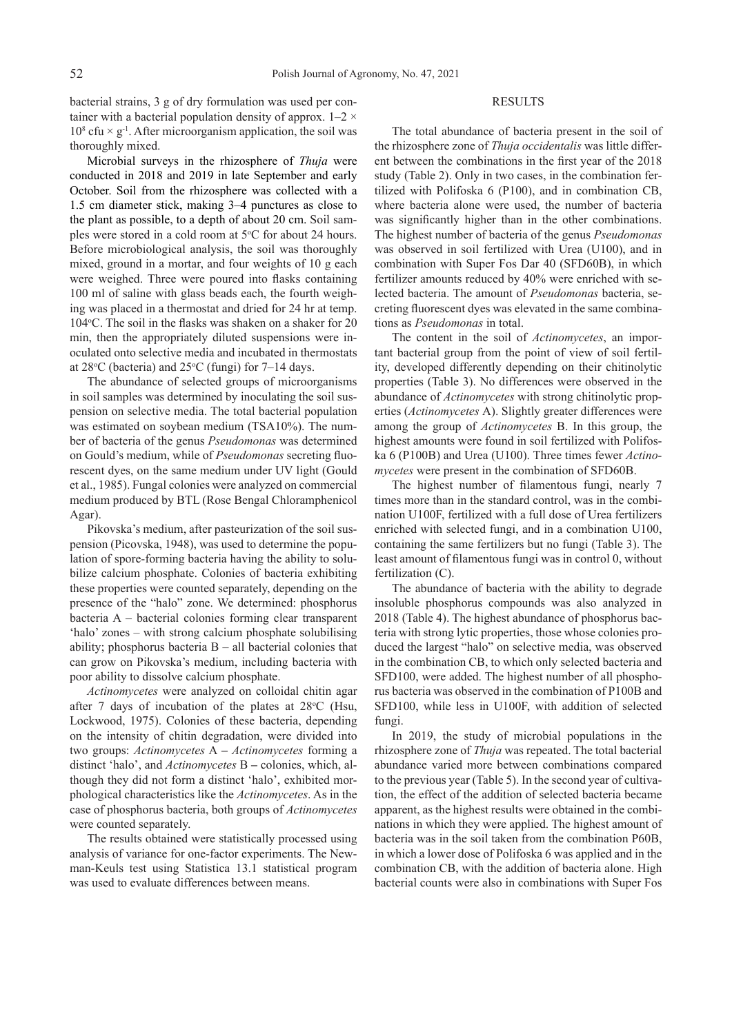bacterial strains, 3 g of dry formulation was used per container with a bacterial population density of approx.  $1-2 \times$  $10^8$  cfu  $\times$  g<sup>-1</sup>. After microorganism application, the soil was thoroughly mixed.

Microbial surveys in the rhizosphere of *Thuja* were conducted in 2018 and 2019 in late September and early October. Soil from the rhizosphere was collected with a 1.5 cm diameter stick, making 3–4 punctures as close to the plant as possible, to a depth of about 20 cm. Soil samples were stored in a cold room at 5°C for about 24 hours. Before microbiological analysis, the soil was thoroughly mixed, ground in a mortar, and four weights of 10 g each were weighed. Three were poured into flasks containing 100 ml of saline with glass beads each, the fourth weighing was placed in a thermostat and dried for 24 hr at temp. 104 °C. The soil in the flasks was shaken on a shaker for 20 min, then the appropriately diluted suspensions were inoculated onto selective media and incubated in thermostats at  $28^{\circ}$ C (bacteria) and  $25^{\circ}$ C (fungi) for 7–14 days.

The abundance of selected groups of microorganisms in soil samples was determined by inoculating the soil suspension on selective media. The total bacterial population was estimated on soybean medium (TSA10%). The number of bacteria of the genus *Pseudomonas* was determined on Gould's medium, while of *Pseudomonas* secreting fluorescent dyes, on the same medium under UV light (Gould et al., 1985). Fungal colonies were analyzed on commercial medium produced by BTL (Rose Bengal Chloramphenicol Agar).

Pikovska's medium, after pasteurization of the soil suspension (Picovska, 1948), was used to determine the population of spore-forming bacteria having the ability to solubilize calcium phosphate. Colonies of bacteria exhibiting these properties were counted separately, depending on the presence of the "halo" zone. We determined: phosphorus bacteria A – bacterial colonies forming clear transparent 'halo' zones – with strong calcium phosphate solubilising ability; phosphorus bacteria B *–* all bacterial colonies that can grow on Pikovska's medium, including bacteria with poor ability to dissolve calcium phosphate.

*Actinomycetes* were analyzed on colloidal chitin agar after 7 days of incubation of the plates at  $28^{\circ}$ C (Hsu, Lockwood, 1975). Colonies of these bacteria, depending on the intensity of chitin degradation, were divided into two groups: *Actinomycetes* A **–** *Actinomycetes* forming a distinct 'halo', and *Actinomycetes* B **–** colonies, which, although they did not form a distinct 'halo', exhibited morphological characteristics like the *Actinomycetes*. As in the case of phosphorus bacteria, both groups of *Actinomycetes* were counted separately.

The results obtained were statistically processed using analysis of variance for one-factor experiments. The Newman-Keuls test using Statistica 13.1 statistical program was used to evaluate differences between means.

## RESULTS

The total abundance of bacteria present in the soil of the rhizosphere zone of *Thuja occidentalis* was little different between the combinations in the first year of the 2018 study (Table 2). Only in two cases, in the combination fertilized with Polifoska 6 (P100), and in combination CB, where bacteria alone were used, the number of bacteria was significantly higher than in the other combinations. The highest number of bacteria of the genus *Pseudomonas* was observed in soil fertilized with Urea (U100), and in combination with Super Fos Dar 40 (SFD60B), in which fertilizer amounts reduced by 40% were enriched with selected bacteria. The amount of *Pseudomonas* bacteria, secreting fluorescent dyes was elevated in the same combinations as *Pseudomonas* in total.

The content in the soil of *Actinomycetes*, an important bacterial group from the point of view of soil fertility, developed differently depending on their chitinolytic properties (Table 3). No differences were observed in the abundance of *Actinomycetes* with strong chitinolytic properties (*Actinomycetes* A). Slightly greater differences were among the group of *Actinomycetes* B. In this group, the highest amounts were found in soil fertilized with Polifoska 6 (P100B) and Urea (U100). Three times fewer *Actinomycetes* were present in the combination of SFD60B.

The highest number of filamentous fungi, nearly 7 times more than in the standard control, was in the combination U100F, fertilized with a full dose of Urea fertilizers enriched with selected fungi, and in a combination U100, containing the same fertilizers but no fungi (Table 3). The least amount of filamentous fungi was in control 0, without fertilization (C).

The abundance of bacteria with the ability to degrade insoluble phosphorus compounds was also analyzed in 2018 (Table 4). The highest abundance of phosphorus bacteria with strong lytic properties, those whose colonies produced the largest "halo" on selective media, was observed in the combination CB, to which only selected bacteria and SFD100, were added. The highest number of all phosphorus bacteria was observed in the combination of P100B and SFD100, while less in U100F, with addition of selected fungi.

In 2019, the study of microbial populations in the rhizosphere zone of *Thuja* was repeated. The total bacterial abundance varied more between combinations compared to the previous year (Table 5). In the second year of cultivation, the effect of the addition of selected bacteria became apparent, as the highest results were obtained in the combinations in which they were applied. The highest amount of bacteria was in the soil taken from the combination P60B, in which a lower dose of Polifoska 6 was applied and in the combination CB, with the addition of bacteria alone. High bacterial counts were also in combinations with Super Fos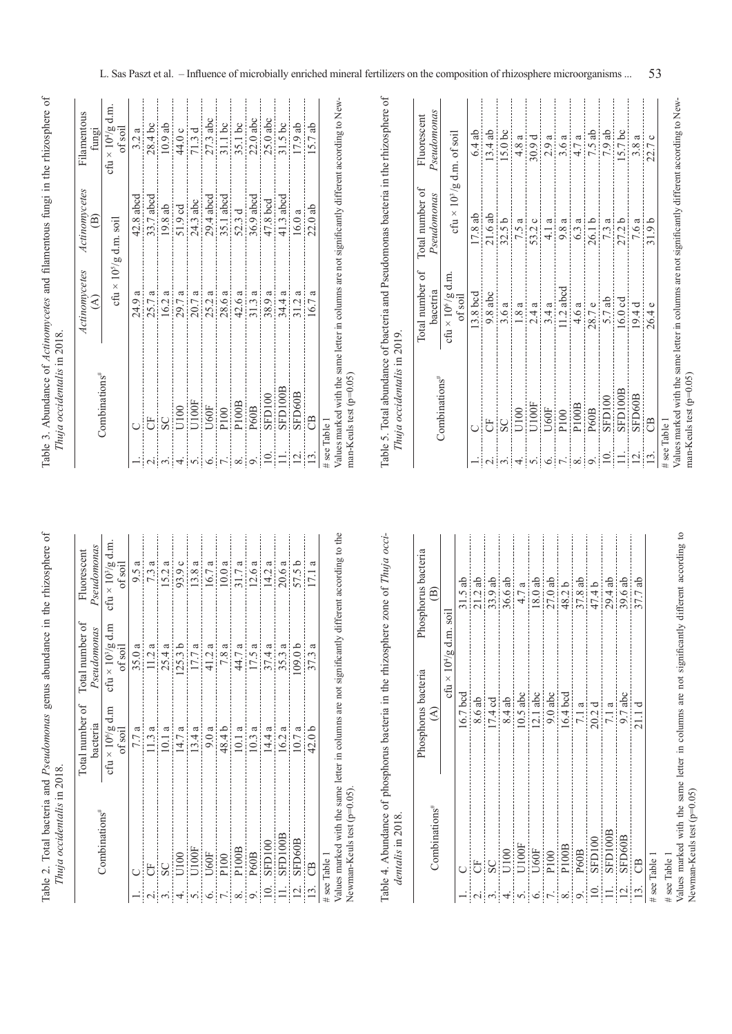| whis in this<br>$Q_{\text{max}}$ |
|----------------------------------|
| iumu<br>.                        |
|                                  |
|                                  |
|                                  |

| Pseudomonas<br>Fluorescent                  | cfu $\times$ $10^3/g$ d.m.<br>of soil      | 9.5a  | 7.3a<br>11.2a | 15.2a | 93.9 c             | 13.8a<br>17.7 a | 16.7a       | 10.0a<br>7.8 a   | 31.7 a          | 12.6a<br>17.5a | 14.2a          | 20.6a    | 57.5 b             | 17.1 a            | الملاحظ ومستلمس ومعادي<br>and all and Property of the Manuscript and the second |
|---------------------------------------------|--------------------------------------------|-------|---------------|-------|--------------------|-----------------|-------------|------------------|-----------------|----------------|----------------|----------|--------------------|-------------------|---------------------------------------------------------------------------------|
| Pseudomonas                                 | $c$ fu × 10 <sup>3</sup> /g d.m<br>of soil | 35.0a |               | 25.4a | 125.3 <sub>b</sub> |                 | 41.2a       |                  | 44.7 a          |                | 37.4a          | 35.3a    | 109.0 <sub>b</sub> | 37.3a             |                                                                                 |
| Total number of Total number of<br>bacteria | cfu × $10^6/g$ d.m<br>of soil              | 7.7 a | 11.3a         | 10.1a | 14.7 a             | 13.4a           | 9.0a        | 48.4 b           | 10.1a           | 10.3a          | 14.4 a         | 16.2a    | 10.7a              | 42.0 <sub>b</sub> |                                                                                 |
|                                             | Combinations <sup>#</sup>                  |       | 5             | SC    | U100               | U100F           | <b>U60F</b> | P100             | P100B           | P60B           | SFD100         | SFD100B  | SFD60B             | පී                | مسامي منذ مصطلح المستمر منطبط والمناسب المحاسبين<br># see Table 1               |
|                                             |                                            |       |               |       | 4.                 | $\dot{\circ}$   | $\circ$     | $\overline{r}$ . | $\frac{8}{9}$ . |                | $\frac{1}{10}$ | $\equiv$ | $\overline{2}$ .   | 13.               | $V/L_{\rm{min}}$                                                                |

Values marked with the same letter in columns are not significantly different according to the Newman-Keuls test (p=0.05). Values marked with the same letter in columns are not significantly different according to the Newman-Keuls test (p=0.05).

Table 4. Abundance of phosphorus bacteria in the rhizosphere zone of Thuja occi-Table 4. Abundance of phosphorus bacteria in the rhizosphere zone of *Thuja occi*dentalis in 2018. *dentalis* in 2018.

|                                                                                                                                                                                                                                                                                                                                                                                                                                                                            |                           | Phosphorus bacteria        | Phosphorus bacteria    |
|----------------------------------------------------------------------------------------------------------------------------------------------------------------------------------------------------------------------------------------------------------------------------------------------------------------------------------------------------------------------------------------------------------------------------------------------------------------------------|---------------------------|----------------------------|------------------------|
|                                                                                                                                                                                                                                                                                                                                                                                                                                                                            | Combinations <sup>#</sup> | $\mathfrak{S}$             | $\widehat{\mathbf{e}}$ |
|                                                                                                                                                                                                                                                                                                                                                                                                                                                                            |                           | cfu × $10^{4}/g$ d.m. soil |                        |
|                                                                                                                                                                                                                                                                                                                                                                                                                                                                            |                           | 16.7 bcd                   | $31.5$ ab              |
|                                                                                                                                                                                                                                                                                                                                                                                                                                                                            | U.                        | 8.6 ab                     | 21.2ab                 |
|                                                                                                                                                                                                                                                                                                                                                                                                                                                                            | $\overline{\text{SC}}$    | 17.4cd                     | 33.9 ab                |
|                                                                                                                                                                                                                                                                                                                                                                                                                                                                            | U100                      | 8.4ab                      | 36.6 ab                |
|                                                                                                                                                                                                                                                                                                                                                                                                                                                                            | U100F                     | $10.5$ abc                 | 4.7 a                  |
|                                                                                                                                                                                                                                                                                                                                                                                                                                                                            | $U60F$                    | $12.1$ abc                 | 18.0ab                 |
| $\frac{1}{2} \left  \frac{1}{2} \right  \left  \frac{1}{2} \right  \left  \frac{1}{2} \right  \left  \frac{1}{2} \right  \left  \frac{1}{2} \right  \left  \frac{1}{2} \right  \left  \frac{1}{2} \right  \left  \frac{1}{2} \right  \left  \frac{1}{2} \right  \left  \frac{1}{2} \right  \left  \frac{1}{2} \right  \left  \frac{1}{2} \right  \left  \frac{1}{2} \right  \left  \frac{1}{2} \right  \left  \frac{1}{2} \right  \left  \frac{1}{2} \right  \left  \frac$ | P100                      | $9.0$ abc                  | 27.0ab                 |
|                                                                                                                                                                                                                                                                                                                                                                                                                                                                            | P100B                     | $16.4$ bcd                 | 48.2b                  |
|                                                                                                                                                                                                                                                                                                                                                                                                                                                                            | P60B                      | 7.1a                       | $\frac{37.8}{47.4}$ b  |
|                                                                                                                                                                                                                                                                                                                                                                                                                                                                            | SFD100                    | 20.2d                      |                        |
|                                                                                                                                                                                                                                                                                                                                                                                                                                                                            | SFD100B                   | 7.1a                       | 29.4 ab                |
| $\overline{5}$                                                                                                                                                                                                                                                                                                                                                                                                                                                             | SFD60B                    | $9.7$ abc                  | 39.6 ab                |
| $\Xi$                                                                                                                                                                                                                                                                                                                                                                                                                                                                      | $\Theta$                  | 21.1d                      | 37.7ab                 |
|                                                                                                                                                                                                                                                                                                                                                                                                                                                                            | # see Table 1             |                            |                        |
|                                                                                                                                                                                                                                                                                                                                                                                                                                                                            |                           |                            |                        |

# see Table 1 # see Table 1

Values marked with the same letter in columns are not significantly different according to Newman-Keuls test  $(p=0.05)$ Values marked with the same letter in columns are not significantly different according to Newman-Keuls test (p=0.05)

Table 3. Abundance of Actinomycetes and filamentous fungi in the rhizosphere of Thuja occidentalis in 2018. Table 3. Abundance of *Actinomycetes* and filamentous fungi in the rhizosphere of *Thuja occidentalis* in 2018.

|       |                                                                                                 | Actinomycetes            | Actinomycetes         | Filamentous                      |
|-------|-------------------------------------------------------------------------------------------------|--------------------------|-----------------------|----------------------------------|
|       | Combinations <sup>#</sup>                                                                       | $\widehat{\mathcal{E}}$  | ê                     | fungi                            |
|       |                                                                                                 | cfu × $10^5/g$ d.m. soil |                       | cfu × $10^{4}/g$ d.m.<br>of soil |
|       |                                                                                                 | 24.9 a                   | $42.8$ abcd           | 3.2a                             |
|       | 5                                                                                               | 25.7a                    | 33.7 abcd             | 28.4bc                           |
|       | $\overline{\text{S}}$                                                                           | 16.2a                    | 19.8 ab               | $10.9$ ab                        |
|       | U100                                                                                            | 29.7 a                   | 51.9 cd               | 44.0 с                           |
|       | U100F                                                                                           | 20.7 a                   | 24.3 abc              | 71.3d                            |
|       | U60F                                                                                            | 25.2a                    | 29.4 abcd             | $27.3$ abc                       |
|       | P100                                                                                            | 28.6a                    | 35.1 abcd             | $31.1$ bc                        |
| ∞ं    | P100B                                                                                           | 42.6 a                   | 52.3 d                | 35.1 bc                          |
|       | P60B                                                                                            | 31.3a                    | $36.9\,\mathrm{abcd}$ | $22.0$ abc                       |
| $\Xi$ | SFD100                                                                                          | 38.9a                    | 47.8 bcd              | $25.0$ abc                       |
|       | SFD100B                                                                                         | 34.4 a                   | 41.3 abcd             | $31.5$ bc                        |
|       | SFD60B                                                                                          | 31.2 a                   | 16.0a                 | 17.9 ab                          |
|       | පී                                                                                              | 16.7 a                   | 22.0ab                | 15.7ab                           |
|       | # see Table 1                                                                                   |                          |                       |                                  |
|       | Values marked with the same letter in columns are not significantly different according to New- |                          |                       |                                  |
|       |                                                                                                 |                          |                       |                                  |

man-Keuls test (p=0.05) man-Keuls test (p=0.05)

Table 5. Total abundance of bacteria and Pseudomonas bacteria in the rhizosphere of Table 5. Total abundance of bacteria and Pseudomonas bacteria in the rhizosphere of Thuja occidentalis in 2019. *Thuja occidentalis* in 2019.

|                |                                                                                                 | Total number of                                          | Total number of                              | Fluorescent        |
|----------------|-------------------------------------------------------------------------------------------------|----------------------------------------------------------|----------------------------------------------|--------------------|
|                | Combinations <sup>#</sup>                                                                       | bacetria                                                 | Pseudomonas                                  | Pseudomonas        |
|                |                                                                                                 | $\text{cfti}\times 10^6/\text{g}\,\text{d.m}$<br>of soil | cfu $\times$ 10 <sup>3</sup> /g d.m. of soil |                    |
|                |                                                                                                 | 13.8 bcd                                                 | 17.8ab                                       | 6.4ab              |
|                | 5                                                                                               | $9.8$ abc                                                | 21.6ab                                       | 13.4ab             |
|                | SC                                                                                              | 3.6a                                                     | 32.5 <sub>b</sub>                            | 15.0 <sub>bc</sub> |
|                | U100                                                                                            | 1.8a                                                     | 7.5 a                                        | 4.8a               |
|                | U100F                                                                                           | 2.4a                                                     | 53.2c                                        | 30.9 d             |
|                | <b>U60F</b>                                                                                     | 3.4a                                                     | 4.1a                                         | 2.9a               |
|                | P100                                                                                            | 11.2 abcd                                                | 9.8 a                                        | 3.6a               |
| $\infty$       | P100B                                                                                           | 4.6a                                                     | 6.3a                                         | 4.7 a              |
|                | P60B                                                                                            | 28.7 e                                                   | 26.1 b                                       | 7.5ab              |
| $\supseteq$    | SFD100                                                                                          | 5.7ab                                                    | 7.3 a                                        | 7.9 ab             |
|                | SFD100B                                                                                         | $16.0 \text{ cd}$                                        | 27.2 <sub>b</sub>                            | $15.7$ bc          |
| $\overline{c}$ | SFD60B                                                                                          | 19.4 d                                                   | 7.6 a                                        | 3.8a               |
|                | පී                                                                                              | 26.4 e                                                   | 31.9 <sub>b</sub>                            | 22.7 c             |
|                | # see Table 1                                                                                   |                                                          |                                              |                    |
|                | Values marked with the same letter in columns are not significantly different according to New- |                                                          |                                              |                    |
|                | man-Keuls test $(p=0.05)$                                                                       |                                                          |                                              |                    |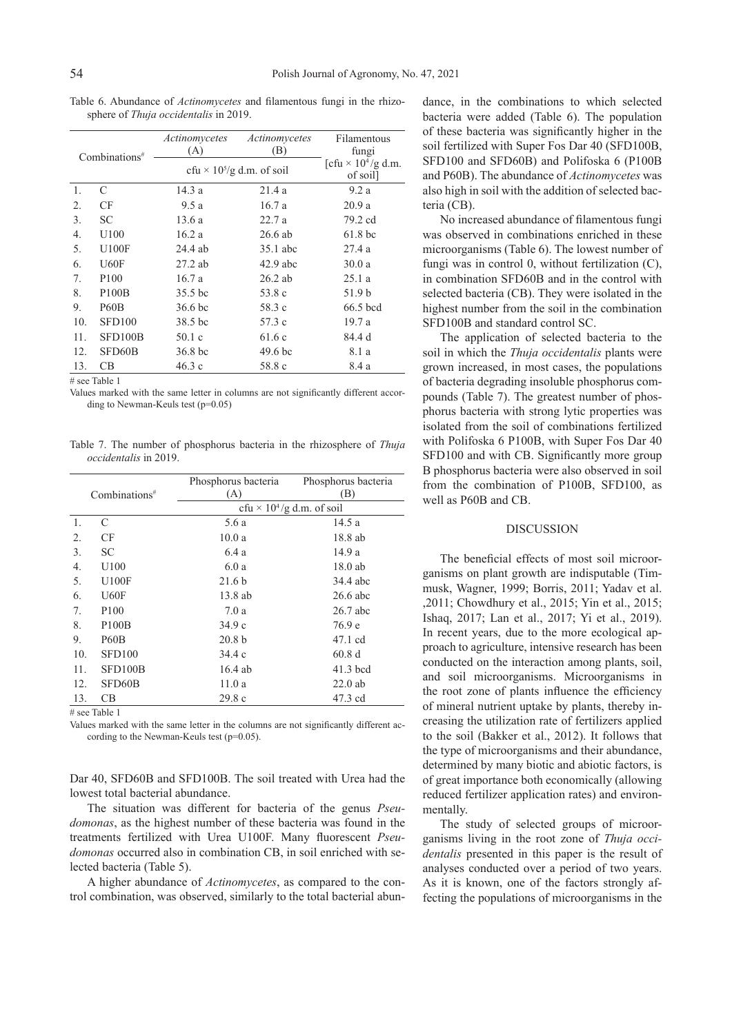Table 6. Abundance of *Actinomycetes* and filamentous fungi in the rhizosphere of *Thuja occidentalis* in 2019.

|     | Combinations <sup>#</sup>     | Actinomycetes<br>(A) | Actinomycetes<br>(B)                         | Filamentous<br>fungi                              |
|-----|-------------------------------|----------------------|----------------------------------------------|---------------------------------------------------|
|     |                               |                      | cfu $\times$ 10 <sup>5</sup> /g d.m. of soil | [cfu $\times$ 10 <sup>4</sup> /g d.m.<br>of soil] |
| 1.  | C                             | 14.3 a               | 21.4a                                        | 9.2a                                              |
| 2.  | CF                            | 9.5a                 | 16.7a                                        | 20.9a                                             |
| 3.  | <b>SC</b>                     | 13.6 a               | 22.7a                                        | 79.2 cd                                           |
| 4.  | U100                          | 16.2a                | $26.6$ ab                                    | 61.8 <sub>bc</sub>                                |
| 5.  | U100F                         | 24.4 ab              | 35.1 abc                                     | 27.4 a                                            |
| 6.  | U60F                          | $27.2$ ab            | $42.9$ abc                                   | 30.0a                                             |
| 7.  | P <sub>100</sub>              | 16.7a                | $26.2$ ab                                    | 25.1a                                             |
| 8.  | P100B                         | 35.5 bc              | 53.8 c                                       | 51.9 b                                            |
| 9.  | P <sub>6</sub> 0 <sub>B</sub> | 36.6 <sub>bc</sub>   | 58.3 c                                       | 66.5 bcd                                          |
| 10. | <b>SFD100</b>                 | 38.5 bc              | 57.3 c                                       | 19.7 a                                            |
| 11. | SFD100B                       | 50.1c                | 61.6c                                        | 84.4 d                                            |
| 12. | SFD60B                        | 36.8 bc              | 49.6 <sub>bc</sub>                           | 8.1 a                                             |
| 13. | CВ                            | 46.3 c               | 58.8 c                                       | 8.4 a                                             |

# see Table 1

Values marked with the same letter in columns are not significantly different according to Newman-Keuls test (p=0.05)

Table 7. The number of phosphorus bacteria in the rhizosphere of *Thuja occidentalis* in 2019.

|     | Combinations <sup>#</sup> | Phosphorus bacteria<br>(A)   | Phosphorus bacteria<br>(B) |
|-----|---------------------------|------------------------------|----------------------------|
|     |                           | cfu × $10^4$ /g d.m. of soil |                            |
| 1.  | C                         | 5.6 a                        | 14.5 a                     |
| 2.  | CF                        | 10.0a                        | 18.8 ab                    |
| 3.  | <b>SC</b>                 | 6.4 a                        | 14.9 a                     |
| 4.  | U100                      | 6.0a                         | 18.0 ab                    |
| 5.  | U100F                     | 21.6 <sub>b</sub>            | 34.4 abc                   |
| 6.  | U60F                      | 13.8 ab                      | $26.6$ abc                 |
| 7.  | P <sub>100</sub>          | 7.0a                         | $26.7$ abc                 |
| 8.  | P <sub>100</sub> B        | 34.9c                        | 76.9 e                     |
| 9.  | <b>P60B</b>               | 20.8 <sub>b</sub>            | 47.1 cd                    |
| 10. | SFD <sub>100</sub>        | 34.4c                        | 60.8d                      |
| 11. | SFD100B                   | $16.4$ ab                    | $41.3$ bcd                 |
| 12. | SFD60B                    | 11.0a                        | $22.0$ ab                  |
| 13. | CВ                        | 29.8c                        | 47.3 cd                    |

# see Table 1

Values marked with the same letter in the columns are not significantly different according to the Newman-Keuls test (p=0.05).

Dar 40, SFD60B and SFD100B. The soil treated with Urea had the lowest total bacterial abundance.

The situation was different for bacteria of the genus *Pseudomonas*, as the highest number of these bacteria was found in the treatments fertilized with Urea U100F. Many fluorescent *Pseudomonas* occurred also in combination CB, in soil enriched with selected bacteria (Table 5).

A higher abundance of *Actinomycetes*, as compared to the control combination, was observed, similarly to the total bacterial abundance, in the combinations to which selected bacteria were added (Table 6). The population of these bacteria was significantly higher in the soil fertilized with Super Fos Dar 40 (SFD100B, SFD100 and SFD60B) and Polifoska 6 (P100B and P60B). The abundance of *Actinomycetes* was also high in soil with the addition of selected bacteria (CB).

No increased abundance of filamentous fungi was observed in combinations enriched in these microorganisms (Table 6). The lowest number of fungi was in control 0, without fertilization (C), in combination SFD60B and in the control with selected bacteria (CB). They were isolated in the highest number from the soil in the combination SFD100B and standard control SC.

The application of selected bacteria to the soil in which the *Thuja occidentalis* plants were grown increased, in most cases, the populations of bacteria degrading insoluble phosphorus compounds (Table 7). The greatest number of phosphorus bacteria with strong lytic properties was isolated from the soil of combinations fertilized with Polifoska 6 P100B, with Super Fos Dar 40 SFD100 and with CB. Significantly more group B phosphorus bacteria were also observed in soil from the combination of P100B, SFD100, as well as P60B and CB.

# **DISCUSSION**

The beneficial effects of most soil microorganisms on plant growth are indisputable (Timmusk, Wagner, 1999; Borris, 2011; Yadav et al. ,2011; Chowdhury et al., 2015; Yin et al., 2015; Ishaq, 2017; Lan et al., 2017; Yi et al., 2019). In recent years, due to the more ecological approach to agriculture, intensive research has been conducted on the interaction among plants, soil, and soil microorganisms. Microorganisms in the root zone of plants influence the efficiency of mineral nutrient uptake by plants, thereby increasing the utilization rate of fertilizers applied to the soil (Bakker et al., 2012). It follows that the type of microorganisms and their abundance, determined by many biotic and abiotic factors, is of great importance both economically (allowing reduced fertilizer application rates) and environmentally.

The study of selected groups of microorganisms living in the root zone of *Thuja occidentalis* presented in this paper is the result of analyses conducted over a period of two years. As it is known, one of the factors strongly affecting the populations of microorganisms in the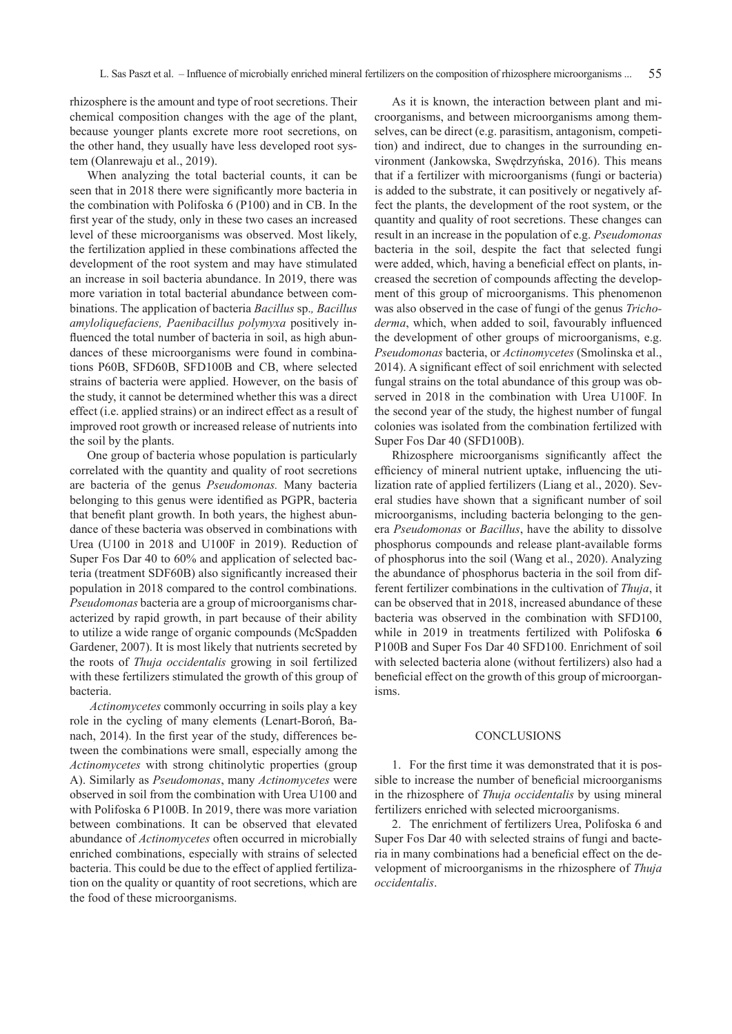rhizosphere is the amount and type of root secretions. Their chemical composition changes with the age of the plant, because younger plants excrete more root secretions, on the other hand, they usually have less developed root system (Olanrewaju et al., 2019).

When analyzing the total bacterial counts, it can be seen that in 2018 there were significantly more bacteria in the combination with Polifoska 6 (P100) and in CB. In the first year of the study, only in these two cases an increased level of these microorganisms was observed. Most likely, the fertilization applied in these combinations affected the development of the root system and may have stimulated an increase in soil bacteria abundance. In 2019, there was more variation in total bacterial abundance between combinations. The application of bacteria *Bacillus* sp.*, Bacillus amyloliquefaciens, Paenibacillus polymyxa* positively influenced the total number of bacteria in soil, as high abundances of these microorganisms were found in combinations P60B, SFD60B, SFD100B and CB, where selected strains of bacteria were applied. However, on the basis of the study, it cannot be determined whether this was a direct effect (i.e. applied strains) or an indirect effect as a result of improved root growth or increased release of nutrients into the soil by the plants.

One group of bacteria whose population is particularly correlated with the quantity and quality of root secretions are bacteria of the genus *Pseudomonas.* Many bacteria belonging to this genus were identified as PGPR, bacteria that benefit plant growth. In both years, the highest abundance of these bacteria was observed in combinations with Urea (U100 in 2018 and U100F in 2019). Reduction of Super Fos Dar 40 to 60% and application of selected bacteria (treatment SDF60B) also significantly increased their population in 2018 compared to the control combinations. *Pseudomonas* bacteria are a group of microorganisms characterized by rapid growth, in part because of their ability to utilize a wide range of organic compounds (McSpadden Gardener, 2007). It is most likely that nutrients secreted by the roots of *Thuja occidentalis* growing in soil fertilized with these fertilizers stimulated the growth of this group of bacteria.

*Actinomycetes* commonly occurring in soils play a key role in the cycling of many elements (Lenart-Boroń, Banach, 2014). In the first year of the study, differences between the combinations were small, especially among the *Actinomycetes* with strong chitinolytic properties (group A). Similarly as *Pseudomonas*, many *Actinomycetes* were observed in soil from the combination with Urea U100 and with Polifoska 6 P100B. In 2019, there was more variation between combinations. It can be observed that elevated abundance of *Actinomycetes* often occurred in microbially enriched combinations, especially with strains of selected bacteria. This could be due to the effect of applied fertilization on the quality or quantity of root secretions, which are the food of these microorganisms.

As it is known, the interaction between plant and microorganisms, and between microorganisms among themselves, can be direct (e.g. parasitism, antagonism, competition) and indirect, due to changes in the surrounding environment (Jankowska, Swędrzyńska, 2016). This means that if a fertilizer with microorganisms (fungi or bacteria) is added to the substrate, it can positively or negatively affect the plants, the development of the root system, or the quantity and quality of root secretions. These changes can result in an increase in the population of e.g. *Pseudomonas* bacteria in the soil, despite the fact that selected fungi were added, which, having a beneficial effect on plants, increased the secretion of compounds affecting the development of this group of microorganisms. This phenomenon was also observed in the case of fungi of the genus *Trichoderma*, which, when added to soil, favourably influenced the development of other groups of microorganisms, e.g. *Pseudomonas* bacteria, or *Actinomycetes* (Smolinska et al., 2014). A significant effect of soil enrichment with selected fungal strains on the total abundance of this group was observed in 2018 in the combination with Urea U100F. In the second year of the study, the highest number of fungal colonies was isolated from the combination fertilized with Super Fos Dar 40 (SFD100B).

Rhizosphere microorganisms significantly affect the efficiency of mineral nutrient uptake, influencing the utilization rate of applied fertilizers (Liang et al., 2020). Several studies have shown that a significant number of soil microorganisms, including bacteria belonging to the genera *Pseudomonas* or *Bacillus*, have the ability to dissolve phosphorus compounds and release plant-available forms of phosphorus into the soil (Wang et al., 2020). Analyzing the abundance of phosphorus bacteria in the soil from different fertilizer combinations in the cultivation of *Thuja*, it can be observed that in 2018, increased abundance of these bacteria was observed in the combination with SFD100, while in 2019 in treatments fertilized with Polifoska **6**  P100B and Super Fos Dar 40 SFD100. Enrichment of soil with selected bacteria alone (without fertilizers) also had a beneficial effect on the growth of this group of microorganisms.

## **CONCLUSIONS**

1. For the first time it was demonstrated that it is possible to increase the number of beneficial microorganisms in the rhizosphere of *Thuja occidentalis* by using mineral fertilizers enriched with selected microorganisms.

2. The enrichment of fertilizers Urea, Polifoska 6 and Super Fos Dar 40 with selected strains of fungi and bacteria in many combinations had a beneficial effect on the development of microorganisms in the rhizosphere of *Thuja occidentalis*.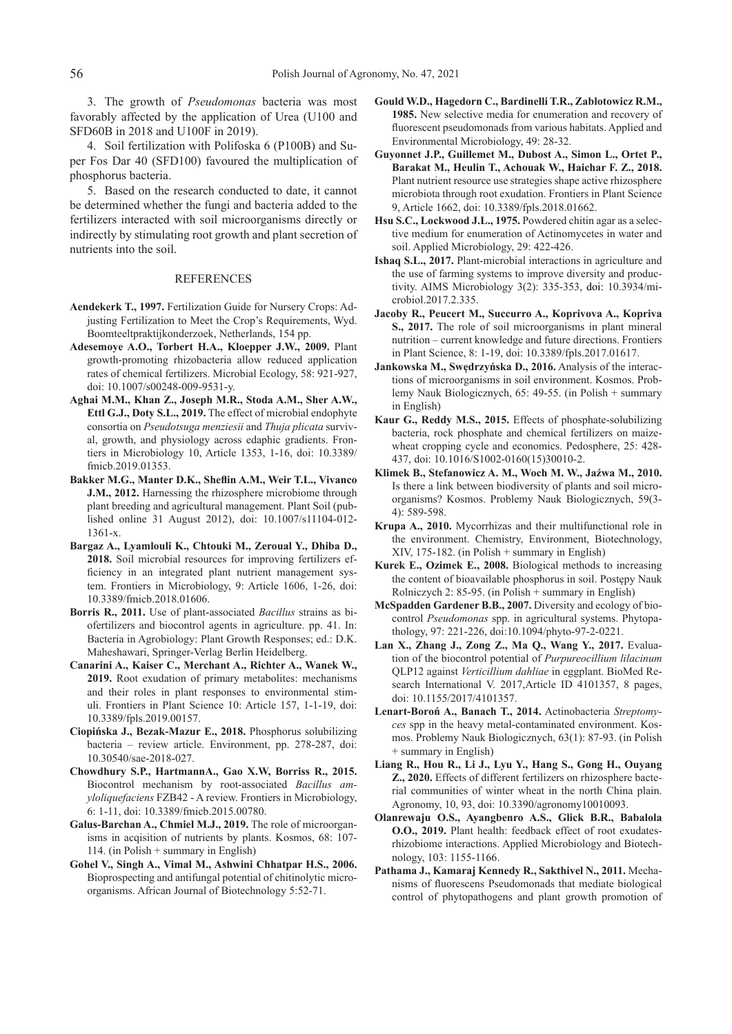3. The growth of *Pseudomonas* bacteria was most favorably affected by the application of Urea (U100 and SFD60B in 2018 and U100F in 2019).

4. Soil fertilization with Polifoska 6 (P100B) and Super Fos Dar 40 (SFD100) favoured the multiplication of phosphorus bacteria.

5. Based on the research conducted to date, it cannot be determined whether the fungi and bacteria added to the fertilizers interacted with soil microorganisms directly or indirectly by stimulating root growth and plant secretion of nutrients into the soil.

#### REFERENCES

- **Aendekerk T., 1997.** Fertilization Guide for Nursery Crops: Adjusting Fertilization to Meet the Crop's Requirements, Wyd. Boomteeltpraktijkonderzoek, Netherlands, 154 pp.
- **Adesemoye A.O., Torbert H.A., Kloepper J.W., 2009.** Plant growth-promoting rhizobacteria allow reduced application rates of chemical fertilizers. Microbial Ecology, 58: 921-927, doi: 10.1007/s00248-009-9531-y.
- **Aghai M.M., Khan Z., Joseph M.R., Stoda A.M., Sher A.W., Ettl G.J., Doty S.L., 2019.** The effect of microbial endophyte consortia on *Pseudotsuga menziesii* and *Thuja plicata* survival, growth, and physiology across edaphic gradients. Frontiers in Microbiology 10, Article 1353, 1-16, doi: 10.3389/ fmicb.2019.01353.
- **Bakker M.G., Manter D.K., Sheflin A.M., Weir T.L., Vivanco J.M., 2012.** Harnessing the rhizosphere microbiome through plant breeding and agricultural management. Plant Soil (published online 31 August 2012), doi: 10.1007/s11104-012- 1361-x.
- **Bargaz A., Lyamlouli K., Chtouki M., Zeroual Y., Dhiba D., 2018.** Soil microbial resources for improving fertilizers efficiency in an integrated plant nutrient management system. Frontiers in Microbiology, 9: Article 1606, 1-26, doi: 10.3389/fmicb.2018.01606.
- **Borris R., 2011.** Use of plant-associated *Bacillus* strains as biofertilizers and biocontrol agents in agriculture. pp. 41. In: Bacteria in Agrobiology: Plant Growth Responses; ed.: D.K. Maheshawari, Springer-Verlag Berlin Heidelberg.
- **Canarini A., Kaiser C., Merchant A., Richter A., Wanek W., 2019.** Root exudation of primary metabolites: mechanisms and their roles in plant responses to environmental stimuli. Frontiers in Plant Science 10: Article 157, 1-1-19, doi: 10.3389/fpls.2019.00157.
- **Ciopińska J., Bezak-Mazur E., 2018.** Phosphorus solubilizing bacteria – review article. Environment, pp. 278-287, doi: 10.30540/sae-2018-027.
- **Chowdhury S.P., HartmannA., Gao X.W, Borriss R., 2015.** Biocontrol mechanism by root-associated *Bacillus amyloliquefaciens* FZB42 - A review. Frontiers in Microbiology, 6: 1-11, doi: 10.3389/fmicb.2015.00780.
- **Galus-Barchan A., Chmiel M.J., 2019.** The role of microorganisms in acqisition of nutrients by plants. Kosmos, 68: 107- 114. (in Polish + summary in English)
- **Gohel V., Singh A., Vimal M., Ashwini Chhatpar H.S., 2006.** Bioprospecting and antifungal potential of chitinolytic microorganisms. African Journal of Biotechnology 5:52-71.
- **Gould W.D., Hagedorn C., Bardinelli T.R., Zablotowicz R.M., 1985.** New selective media for enumeration and recovery of fluorescent pseudomonads from various habitats. Applied and Environmental Microbiology, 49: 28-32.
- **Guyonnet J.P., Guillemet M., Dubost A., Simon L., Ortet P., Barakat M., Heulin T., Achouak W., Haichar F. Z., 2018.** Plant nutrient resource use strategies shape active rhizosphere microbiota through root exudation. Frontiers in Plant Science 9, Article 1662, doi: 10.3389/fpls.2018.01662.
- **Hsu S.C., Lockwood J.L., 1975.** Powdered chitin agar as a selective medium for enumeration of Actinomycetes in water and soil. Applied Microbiology, 29: 422-426.
- **Ishaq S.L., 2017.** Plant-microbial interactions in agriculture and the use of farming systems to improve diversity and productivity. AIMS Microbiology 3(2): 335-353, doi: 10.3934/microbiol.2017.2.335.
- **Jacoby R., Peucert M., Succurro A., Koprivova A., Kopriva S., 2017.** The role of soil microorganisms in plant mineral nutrition – current knowledge and future directions. Frontiers in Plant Science, 8: 1-19, doi: 10.3389/fpls.2017.01617.
- **Jankowska M., Swędrzyńska D., 2016.** Analysis of the interactions of microorganisms in soil environment. Kosmos. Problemy Nauk Biologicznych, 65: 49-55. (in Polish + summary in English)
- **Kaur G., Reddy M.S., 2015.** Effects of phosphate-solubilizing bacteria, rock phosphate and chemical fertilizers on maizewheat cropping cycle and economics. Pedosphere, 25: 428- 437, doi: 10.1016/S1002-0160(15)30010-2.
- **Klimek B., Stefanowicz A. M., Woch M. W., Jaźwa M., 2010.** Is there a link between biodiversity of plants and soil microorganisms? Kosmos. Problemy Nauk Biologicznych, 59(3- 4): 589-598.
- **Krupa A., 2010.** Mycorrhizas and their multifunctional role in the environment. Chemistry, Environment, Biotechnology, XIV, 175-182. (in Polish + summary in English)
- **Kurek E., Ozimek E., 2008.** Biological methods to increasing the content of bioavailable phosphorus in soil. Postępy Nauk Rolniczych 2: 85-95. (in Polish + summary in English)
- **McSpadden Gardener B.B., 2007.** Diversity and ecology of biocontrol *Pseudomonas* spp. in agricultural systems. Phytopathology, 97: 221-226, doi:10.1094/phyto-97-2-0221.
- **Lan X., Zhang J., Zong Z., Ma Q., Wang Y., 2017.** Evaluation of the biocontrol potential of *Purpureocillium lilacinum* QLP12 against *Verticillium dahliae* in eggplant. BioMed Research International V. 2017,Article ID 4101357, 8 pages, doi: 10.1155/2017/4101357.
- **Lenart-Boroń A., Banach T., 2014.** Actinobacteria *Streptomyces* spp in the heavy metal-contaminated environment. Kosmos. Problemy Nauk Biologicznych, 63(1): 87-93. (in Polish + summary in English)
- **Liang R., Hou R., Li J., Lyu Y., Hang S., Gong H., Ouyang Z., 2020.** Effects of different fertilizers on rhizosphere bacterial communities of winter wheat in the north China plain. Agronomy, 10, 93, doi: 10.3390/agronomy10010093.
- **Olanrewaju O.S., Ayangbenro A.S., Glick B.R., Babalola O.O., 2019.** Plant health: feedback effect of root exudatesrhizobiome interactions. Applied Microbiology and Biotechnology, 103: 1155-1166.
- **Pathama J., Kamaraj Kennedy R., Sakthivel N., 2011.** Mechanisms of fluorescens Pseudomonads that mediate biological control of phytopathogens and plant growth promotion of